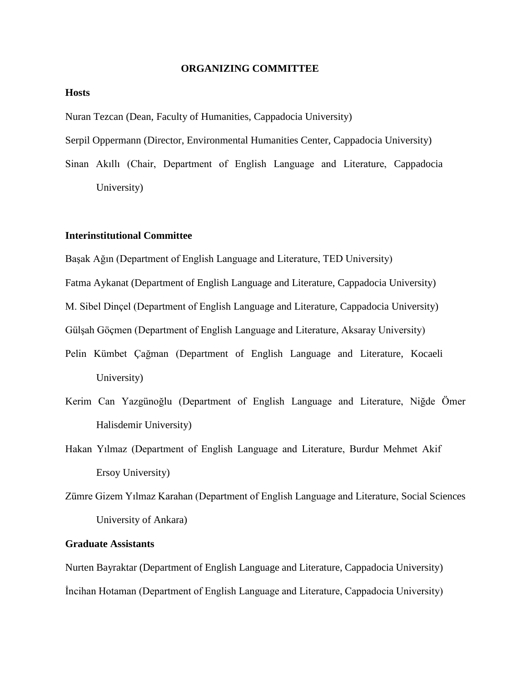#### **ORGANIZING COMMITTEE**

## **Hosts**

Nuran Tezcan (Dean, Faculty of Humanities, Cappadocia University)

Serpil Oppermann (Director, Environmental Humanities Center, Cappadocia University)

Sinan Akıllı (Chair, Department of English Language and Literature, Cappadocia University)

## **Interinstitutional Committee**

Başak Ağın (Department of English Language and Literature, TED University)

Fatma Aykanat (Department of English Language and Literature, Cappadocia University)

M. Sibel Dinçel (Department of English Language and Literature, Cappadocia University)

Gülşah Göçmen (Department of English Language and Literature, Aksaray University)

- Pelin Kümbet Çağman (Department of English Language and Literature, Kocaeli University)
- Kerim Can Yazgünoğlu (Department of English Language and Literature, Niğde Ömer Halisdemir University)
- Hakan Yılmaz (Department of English Language and Literature, Burdur Mehmet Akif Ersoy University)
- Zümre Gizem Yılmaz Karahan (Department of English Language and Literature, Social Sciences University of Ankara)

# **Graduate Assistants**

Nurten Bayraktar (Department of English Language and Literature, Cappadocia University) İncihan Hotaman (Department of English Language and Literature, Cappadocia University)